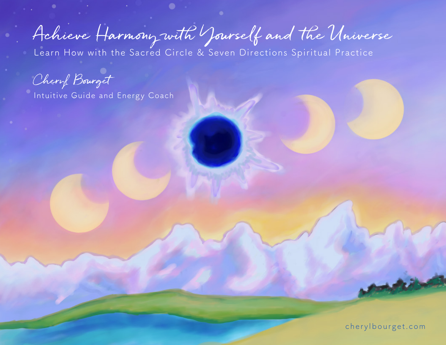Achieve Harmony with Yourself and the Universe

Learn How with the Sacred Circle & Seven Directions Spiritual Practice

Cheryl Bourget

Intuitive Guide and Energy Coach

[cherylbourget.com](http://cherylbourget.com)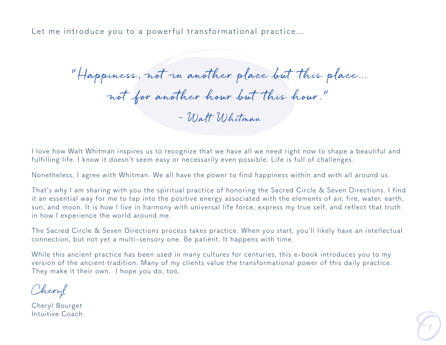Let me introduce you to a powerful transformational practice...

"Happiness, not in another place but this place… not for another hour but this hour." ~ Walt Whitman

I love how Walt Whitman inspires us to recognize that we have all we need right now to shape a beautiful and fulfilling life. I know it doesn't seem easy or necessarily even possible. Life is full of challenges.

Nonetheless, I agree with Whitman. We all have the power to find happiness within and with all around us.

That's why I am sharing with you the spiritual practice of honoring the Sacred Circle & Seven Directions. I find it an essential way for me to tap into the positive energy associated with the elements of air, fire, water, earth, sun, and moon. It is how I live in harmony with universal life force, express my true self, and reflect that truth in how I experience the world around me.

The Sacred Circle & Seven Directions process takes practice. When you start, you'll likely have an intellectual connection, but not yet a multi-sensory one. Be patient. It happens with time.

While this ancient practice has been used in many cultures for centuries, this e-book introduces you to my version of the ancient tradition. Many of my clients value the transformational power of this daily practice. They make it their own. I hope you do, too.

Cheryl

Cheryl Bourget Intuitive Coach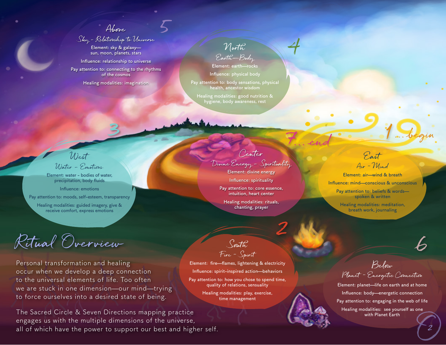Above

5

Sky - Relationship to Universe

Element: sky & galaxy sun, moon, planets, stars

Influence: relationship to universe Pay attention to: connecting to the rhythms of the cosmos

Healing modalities: imagination

3

North Earth—Body

Element: earth—rocks Influence: physical body

Pay attention to: body sensations, physical health, ancestor wisdom

Healing modalities: good nutrition & hygiene, body awareness, rest

West Water – Emotions

Element: water - bodies of water, precipitation, body fluids

Influence: emotions Pay attention to: moods, self-esteem, transparency

Healing modalities: guided imagery, give & receive comfort, express emotions

Ritual Overview

Personal transformation and healing occur when we develop a deep connection to the universal elements of life. Too often we are stuck in one dimension—our mind—trying to force ourselves into a desired state of being.

The Sacred Circle & Seven Directions mapping practice engages us with the multiple dimensions of the universe, all of which have the power to support our best and higher self.

Center Divine Energy – Spirituality Element: divine energy

Influence: spirituality

Pay attention to: core essence, intuition, heart center

Healing modalities: rituals, chanting, prayer

2

4

East Air ~ Mind 7 end 1

2. end de la begin

Element: air—wind & breath Influence: mind—conscious & unconscious Pay attention to: beliefs & words spoken & written

> Healing modalities: meditation, breath work, journaling

South Fire ~ Spirit

Element: fire—flames, lightening & electricity Influence: spirit-inspired action—behaviors Pay attention to: how you chose to spend time, quality of relations, sensuality

Healing modalities: play, exercise, time management

Below Planet ~ Energetic Connection

Element: planet—life on earth and at home Influence: body—energetic connection Pay attention to: engaging in the web of life Healing modalities: see yourself as one with Planet Earth

6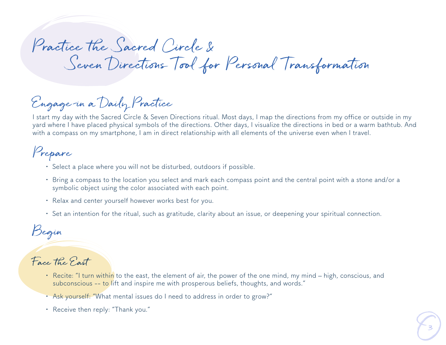# Practice the Sacred Circle & Seven Directions Tool for Personal Transformation

# Engage in a Daily Practice

I start my day with the Sacred Circle & Seven Directions ritual. Most days, I map the directions from my office or outside in my yard where I have placed physical symbols of the directions. Other days, I visualize the directions in bed or a warm bathtub. And with a compass on my smartphone, I am in direct relationship with all elements of the universe even when I travel.

## Prepare

- Select a place where you will not be disturbed, outdoors if possible.
- Bring a compass to the location you select and mark each compass point and the central point with a stone and/or a symbolic object using the color associated with each point.
- Relax and center yourself however works best for you.
- Set an intention for the ritual, such as gratitude, clarity about an issue, or deepening your spiritual connection.

### Begin

#### Face the East

- Recite: "I turn within to the east, the element of air, the power of the one mind, my mind high, conscious, and subconscious -- to lift and inspire me with prosperous beliefs, thoughts, and words."
- Ask yourself: "What mental issues do I need to address in order to grow?"
- Receive then reply: "Thank you."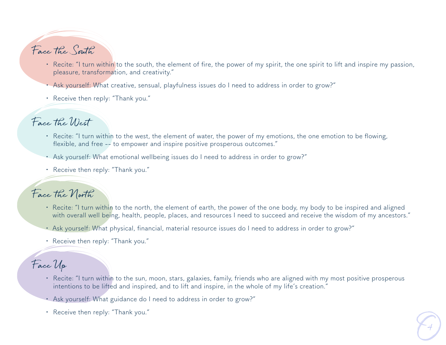## Face the South

- Recite: "I turn within to the south, the element of fire, the power of my spirit, the one spirit to lift and inspire my passion, pleasure, transformation, and creativity."
- Ask yourself: What creative, sensual, playfulness issues do I need to address in order to grow?"
- Receive then reply: "Thank you."

#### Face the West

- Recite: "I turn within to the west, the element of water, the power of my emotions, the one emotion to be flowing, flexible, and free -- to empower and inspire positive prosperous outcomes."
- Ask yourself: What emotional wellbeing issues do I need to address in order to grow?"
- Receive then reply: "Thank you."

#### Face the North

- Recite: "I turn within to the north, the element of earth, the power of the one body, my body to be inspired and aligned with overall well being, health, people, places, and resources I need to succeed and receive the wisdom of my ancestors."
- Ask yourself: What physical, financial, material resource issues do I need to address in order to grow?"
- Receive then reply: "Thank you."

#### Face Up

- Recite: "I turn within to the sun, moon, stars, galaxies, family, friends who are aligned with my most positive prosperous intentions to be lifted and inspired, and to lift and inspire, in the whole of my life's creation."
- Ask yourself: What guidance do I need to address in order to grow?"
- Receive then reply: "Thank you."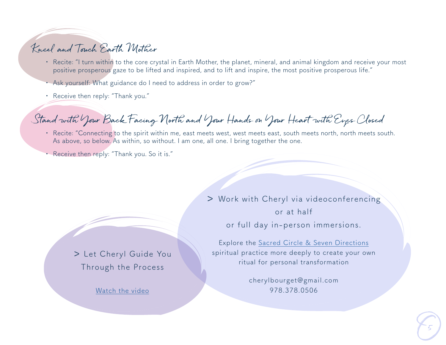#### Kneel and Touch Earth Mother

- Recite: "I turn within to the core crystal in Earth Mother, the planet, mineral, and animal kingdom and receive your most positive prosperous gaze to be lifted and inspired, and to lift and inspire, the most positive prosperous life."
- Ask yourself: What guidance do I need to address in order to grow?"
- Receive then reply: "Thank you."

### Stand with Your Back Facing North and Your Hands on Your Heart with Eyes Closed

- Recite: "Connecting to the spirit within me, east meets west, west meets east, south meets north, north meets south. As above, so below. As within, so without. I am one, all one. I bring together the one.
- Receive then reply: "Thank you. So it is."

> Let Cheryl Guide You Through the Process

[Watch the video](https://www.youtube.com/watch?v=6zst6EhOYJU&feature=youtu.be)

> Work with Cheryl via videoconferencing or at half

or full day in-person immersions.

Explore the [Sacred Circle & Seven Directions](https://www.cherylbourget.com/mapping-consciousness-i-a-path-for-self-evolution.htm) spiritual practice more deeply to create your own ritual for personal transformation

> cherylbourget@gmail.com 978.378.0506